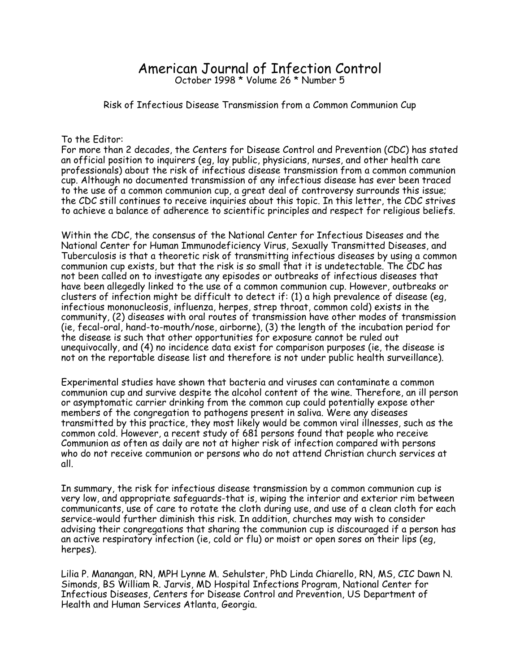## American Journal of Infection Control October 1998 \* Volume 26 \* Number 5

Risk of Infectious Disease Transmission from a Common Communion Cup

To the Editor:

For more than 2 decades, the Centers for Disease Control and Prevention (CDC) has stated an official position to inquirers (eg, lay public, physicians, nurses, and other health care professionals) about the risk of infectious disease transmission from a common communion cup. Although no documented transmission of any infectious disease has ever been traced to the use of a common communion cup, a great deal of controversy surrounds this issue; the CDC still continues to receive inquiries about this topic. In this letter, the CDC strives to achieve a balance of adherence to scientific principles and respect for religious beliefs.

Within the CDC, the consensus of the National Center for Infectious Diseases and the National Center for Human Immunodeficiency Virus, Sexually Transmitted Diseases, and Tuberculosis is that a theoretic risk of transmitting infectious diseases by using a common communion cup exists, but that the risk is so small that it is undetectable. The CDC has not been called on to investigate any episodes or outbreaks of infectious diseases that have been allegedly linked to the use of a common communion cup. However, outbreaks or clusters of infection might be difficult to detect if: (1) a high prevalence of disease (eg, infectious mononucleosis, influenza, herpes, strep throat, common cold) exists in the community, (2) diseases with oral routes of transmission have other modes of transmission (ie, fecal-oral, hand-to-mouth/nose, airborne), (3) the length of the incubation period for the disease is such that other opportunities for exposure cannot be ruled out unequivocally, and (4) no incidence data exist for comparison purposes (ie, the disease is not on the reportable disease list and therefore is not under public health surveillance).

Experimental studies have shown that bacteria and viruses can contaminate a common communion cup and survive despite the alcohol content of the wine. Therefore, an ill person or asymptomatic carrier drinking from the common cup could potentially expose other members of the congregation to pathogens present in saliva. Were any diseases transmitted by this practice, they most likely would be common viral illnesses, such as the common cold. However, a recent study of 681 persons found that people who receive Communion as often as daily are not at higher risk of infection compared with persons who do not receive communion or persons who do not attend Christian church services at all.

In summary, the risk for infectious disease transmission by a common communion cup is very low, and appropriate safeguards-that is, wiping the interior and exterior rim between communicants, use of care to rotate the cloth during use, and use of a clean cloth for each service-would further diminish this risk. In addition, churches may wish to consider advising their congregations that sharing the communion cup is discouraged if a person has an active respiratory infection (ie, cold or flu) or moist or open sores on their lips (eg, herpes).

Lilia P. Manangan, RN, MPH Lynne M. Sehulster, PhD Linda Chiarello, RN, MS, CIC Dawn N. Simonds, BS William R. Jarvis, MD Hospital Infections Program, National Center for Infectious Diseases, Centers for Disease Control and Prevention, US Department of Health and Human Services Atlanta, Georgia.